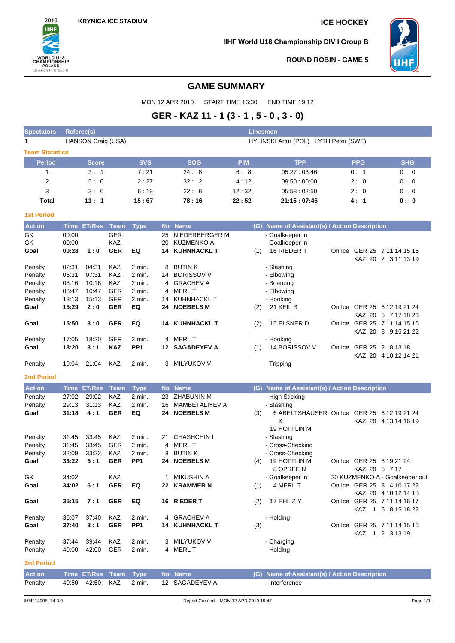

**IIHF World U18 Championship DIV I Group B**



**ROUND ROBIN - GAME 5**

# **GAME SUMMARY**

MON 12 APR 2010 START TIME 16:30 END TIME 19:12

# **GER - KAZ 11 - 1 (3 - 1 , 5 - 0 , 3 - 0)**

| <b>Spectators</b> | Referee(s)<br><b>Linesmen</b> |            |                                        |            |               |            |            |  |  |  |  |  |  |  |  |
|-------------------|-------------------------------|------------|----------------------------------------|------------|---------------|------------|------------|--|--|--|--|--|--|--|--|
| 1                 | HANSON Craig (USA)            |            | HYLINSKI Artur (POL), LYTH Peter (SWE) |            |               |            |            |  |  |  |  |  |  |  |  |
|                   | <b>Team Statistics</b>        |            |                                        |            |               |            |            |  |  |  |  |  |  |  |  |
| <b>Period</b>     | <b>Score</b>                  | <b>SVS</b> | <b>SOG</b>                             | <b>PIM</b> | <b>TPP</b>    | <b>PPG</b> | <b>SHG</b> |  |  |  |  |  |  |  |  |
|                   | 3:1                           | 7:21       | 24:8                                   | 6:8        | 05:27:03:46   | 0:1        | 0:0        |  |  |  |  |  |  |  |  |
| 2                 | 5:0                           | 2:27       | 32:2                                   | 4:12       | 09:50:00:00   | 2:0        | 0:0        |  |  |  |  |  |  |  |  |
| 3                 | 3:0                           | 6:19       | 22:6                                   | 12:32      | 05.58:02.50   | 2:0        | 0:0        |  |  |  |  |  |  |  |  |
| <b>Total</b>      | 11:1                          | 15:67      | 78:16                                  | 22:52      | 21:15 : 07:46 | 4:1        | 0: 0       |  |  |  |  |  |  |  |  |
|                   |                               |            |                                        |            |               |            |            |  |  |  |  |  |  |  |  |

#### **1st Period**

| <b>Action</b>     |             | Time ET/Res   | <b>Team</b> | <b>Type</b>     |    | No Name               |     | (G) Name of Assistant(s) / Action Description |        |               |                                |
|-------------------|-------------|---------------|-------------|-----------------|----|-----------------------|-----|-----------------------------------------------|--------|---------------|--------------------------------|
| GK                | 00:00       |               | <b>GER</b>  |                 | 25 | NIEDERBERGER M        |     | - Goalkeeper in                               |        |               |                                |
| GK                | 00:00       |               | KAZ         |                 | 20 | KUZMENKO A            |     | - Goalkeeper in                               |        |               |                                |
| Goal              | 00:28       | 1:0           | <b>GER</b>  | EQ              |    | <b>14 KUHNHACKL T</b> | (1) | 16 RIEDER T                                   |        |               | On Ice GER 25 7 11 14 15 16    |
|                   |             |               |             |                 |    |                       |     |                                               |        |               | KAZ 20 2 3 11 13 19            |
| Penalty           | 02:31       | 04:31         | KAZ         | 2 min.          |    | 8 BUTIN K             |     | - Slashing                                    |        |               |                                |
| Penalty           | 05:31       | 07:31         | KAZ         | 2 min.          | 14 | <b>BORISSOV V</b>     |     | - Elbowing                                    |        |               |                                |
| Penalty           | 08:16       | 10:16         | KAZ         | 2 min.          | 4  | <b>GRACHEV A</b>      |     | - Boarding                                    |        |               |                                |
| Penalty           | 08:47       | 10:47         | <b>GER</b>  | 2 min.          |    | 4 MERL T              |     | - Elbowing                                    |        |               |                                |
| Penalty           | 13:13       | 15:13         | <b>GER</b>  | 2 min.          |    | 14 KUHNHACKL T        |     | - Hooking                                     |        |               |                                |
| Goal              | 15:29       | 2:0           | <b>GER</b>  | EQ              |    | 24 NOEBELS M          | (2) | 21 KEIL B                                     |        |               | On Ice GER 25 6 12 19 21 24    |
|                   |             |               |             |                 |    |                       |     |                                               |        |               | KAZ 20 5 7 17 18 23            |
| Goal              | 15:50       | 3:0           | <b>GER</b>  | EQ              |    | <b>14 KUHNHACKL T</b> | (2) | 15 ELSNER D                                   |        |               | On Ice GER 25 7 11 14 15 16    |
|                   |             |               |             |                 |    |                       |     |                                               |        |               | KAZ 20 8 9 15 21 22            |
| Penalty           | 17:05       | 18:20         | GER         | 2 min.          |    | 4 MERL T              |     | - Hooking                                     |        |               |                                |
| Goal              | 18:20       | 3:1           | <b>KAZ</b>  | PP <sub>1</sub> |    | <b>12 SAGADEYEV A</b> | (1) | 14 BORISSOV V                                 |        |               | On Ice GER 25 2 8 13 18        |
|                   |             |               |             |                 |    |                       |     |                                               |        |               | KAZ 20 4 10 12 14 21           |
| Penalty           | 19:04       | 21:04         | KAZ         | 2 min.          |    | 3 MILYUKOV V          |     | - Tripping                                    |        |               |                                |
|                   |             |               |             |                 |    |                       |     |                                               |        |               |                                |
| <b>2nd Period</b> |             |               |             |                 |    |                       |     |                                               |        |               |                                |
| <b>Action</b>     | <b>Time</b> | <b>ET/Res</b> | <b>Team</b> | <b>Type</b>     |    | No Name               |     | (G) Name of Assistant(s) / Action Description |        |               |                                |
| Penalty           | 27:02       | 29:02         | KAZ         | 2 min.          |    | 23 ZHABUNIN M         |     | - High Sticking                               |        |               |                                |
| Penalty           | 29:13       | 31:13         | <b>KAZ</b>  | 2 min.          | 16 | <b>MAMBETALIYEV A</b> |     | - Slashing                                    |        |               |                                |
| Goal              | 31:18       | 4:1           | <b>GER</b>  | EQ              |    | 24 NOEBELS M          | (3) | 6 ABELTSHAUSER On Ice GER 25 6 12 19 21 24    |        |               |                                |
|                   |             |               |             |                 |    |                       |     | Κ                                             |        |               | KAZ 20 4 13 14 16 19           |
|                   |             |               |             |                 |    |                       |     | 19 HOFFLIN M                                  |        |               |                                |
| Penalty           | 31:45       | 33:45         | KAZ         | 2 min.          |    | 21 CHASHCHIN I        |     | - Slashing                                    |        |               |                                |
| Penalty           | 31:45       | 33:45         | <b>GER</b>  | 2 min.          |    | 4 MERL T              |     | - Cross-Checking                              |        |               |                                |
| Penalty           | 32:09       | 33:22         | KAZ         | 2 min.          | 8  | <b>BUTINK</b>         |     | - Cross-Checking                              |        |               |                                |
| Goal              | 33:22       | 5:1           | <b>GER</b>  | PP <sub>1</sub> |    | 24 NOEBELS M          | (4) | 19 HOFFLIN M                                  |        |               | On Ice GER 25 8 19 21 24       |
|                   |             |               |             |                 |    |                       |     | 8 OPREE N                                     |        | KAZ 20 5 7 17 |                                |
| GK                | 34:02       |               | KAZ         |                 | 1  | <b>MIKUSHIN A</b>     |     | - Goalkeeper in                               |        |               | 20 KUZMENKO A - Goalkeeper out |
| Goal              | 34:02       | 6:1           | <b>GER</b>  | EQ              | 22 | <b>KRAMMER N</b>      | (1) | 4 MERL T                                      |        |               | On Ice GER 25 3 4 10 17 22     |
|                   |             |               |             |                 |    |                       |     |                                               |        |               | KAZ 20 4 10 12 14 18           |
| Goal              | 35:15       | 7:1           | <b>GER</b>  | EQ              |    | 16 RIEDER T           | (2) | 17 EHLIZ Y                                    |        |               | On Ice GER 25 7 11 14 16 17    |
|                   |             |               |             |                 |    |                       |     |                                               |        |               | KAZ 1 5 8 15 18 22             |
| Penalty           | 36:07       | 37:40         | <b>KAZ</b>  | 2 min.          | 4  | <b>GRACHEV A</b>      |     | - Holding                                     |        |               |                                |
| Goal              | 37:40       | 8:1           | <b>GER</b>  | PP <sub>1</sub> |    | <b>14 KUHNHACKL T</b> | (3) |                                               | On Ice |               | GER 25 7 11 14 15 16           |
|                   |             |               |             |                 |    |                       |     |                                               |        | KAZ.          | 1 2 3 1 3 1 9                  |
| Penalty           | 37:44       | 39:44         | <b>KAZ</b>  | 2 min.          | 3  | <b>MILYUKOV V</b>     |     | - Charging                                    |        |               |                                |
| Penalty           | 40:00       | 42:00         | <b>GER</b>  | 2 min.          |    | 4 MERL T              |     | - Holding                                     |        |               |                                |
| <b>3rd Period</b> |             |               |             |                 |    |                       |     |                                               |        |               |                                |
| <b>Action</b>     | <b>Time</b> | <b>ET/Res</b> | <b>Team</b> | <b>Type</b>     |    | No Name               | (G) | Name of Assistant(s) / Action Description     |        |               |                                |
| Penalty           | 40:50       | 42:50         | KAZ         | 2 min.          |    | 12 SAGADEYEV A        |     | - Interference                                |        |               |                                |
|                   |             |               |             |                 |    |                       |     |                                               |        |               |                                |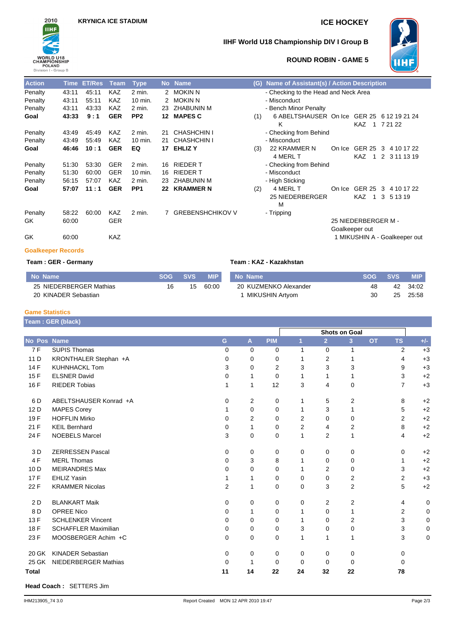

## **IIHF World U18 Championship DIV I Group B**



#### **ROUND ROBIN - GAME 5**

| <b>Action</b>             | <b>Time</b> | <b>ET/Res</b> | Team       | <b>Type</b>     |    | No Name            | (G) | Name of Assistant(s) / Action Description |                     |    |   |                               |  |
|---------------------------|-------------|---------------|------------|-----------------|----|--------------------|-----|-------------------------------------------|---------------------|----|---|-------------------------------|--|
| Penalty                   | 43:11       | 45:11         | <b>KAZ</b> | 2 min.          |    | 2 MOKIN N          |     | - Checking to the Head and Neck Area      |                     |    |   |                               |  |
| Penalty                   | 43:11       | 55:11         | <b>KAZ</b> | 10 min.         |    | 2 MOKIN N          |     | - Misconduct                              |                     |    |   |                               |  |
| Penalty                   | 43:11       | 43:33         | KAZ        | 2 min.          | 23 | <b>ZHABUNIN M</b>  |     | - Bench Minor Penalty                     |                     |    |   |                               |  |
| Goal                      | 43:33       | 9:1           | <b>GER</b> | PP <sub>2</sub> | 12 | <b>MAPES C</b>     | (1) | 6 ABELTSHAUSER On Ice                     |                     |    |   | GER 25 6 12 19 21 24          |  |
|                           |             |               |            |                 |    |                    |     | Κ                                         | KAZ                 | -1 |   | 7 21 22                       |  |
| Penalty                   | 43:49       | 45:49         | KAZ        | 2 min.          | 21 | <b>CHASHCHIN I</b> |     | - Checking from Behind                    |                     |    |   |                               |  |
| Penalty                   | 43:49       | 55:49         | <b>KAZ</b> | 10 min.         | 21 | <b>CHASHCHIN I</b> |     | - Misconduct                              |                     |    |   |                               |  |
| Goal                      | 46:46       | 10:1          | <b>GER</b> | EQ              | 17 | <b>EHLIZY</b>      | (3) | 22 KRAMMER N<br>On Ice                    | GER 25 3            |    |   | 4 10 17 22                    |  |
|                           |             |               |            |                 |    |                    |     | 4 MERL T                                  | <b>KAZ</b>          | -1 |   | 2 3 11 13 19                  |  |
| Penalty                   | 51:30       | 53:30         | <b>GER</b> | 2 min.          | 16 | <b>RIEDERT</b>     |     | - Checking from Behind                    |                     |    |   |                               |  |
| Penalty                   | 51:30       | 60:00         | <b>GER</b> | 10 min.         | 16 | <b>RIEDERT</b>     |     | - Misconduct                              |                     |    |   |                               |  |
| Penalty                   | 56:15       | 57:07         | <b>KAZ</b> | 2 min.          | 23 | <b>ZHABUNIN M</b>  |     | - High Sticking                           |                     |    |   |                               |  |
| Goal                      | 57:07       | 11:1          | <b>GER</b> | PP <sub>1</sub> | 22 | <b>KRAMMER N</b>   | (2) | 4 MERL T<br>On Ice                        | GER 25              |    | 3 | 4 10 17 22                    |  |
|                           |             |               |            |                 |    |                    |     | 25 NIEDERBERGER<br>M                      | KAZ                 | -1 | 3 | 5 13 19                       |  |
| Penalty                   | 58:22       | 60:00         | KAZ        | 2 min.          |    | 7 GREBENSHCHIKOV V |     | - Tripping                                |                     |    |   |                               |  |
| GK.                       | 60:00       |               | <b>GER</b> |                 |    |                    |     |                                           | 25 NIEDERBERGER M - |    |   |                               |  |
|                           |             |               |            |                 |    |                    |     |                                           | Goalkeeper out      |    |   |                               |  |
| GK                        | 60:00       |               | <b>KAZ</b> |                 |    |                    |     |                                           |                     |    |   | 1 MIKUSHIN A - Goalkeeper out |  |
| <b>Goalkeeper Records</b> |             |               |            |                 |    |                    |     |                                           |                     |    |   |                               |  |

#### **Team : GER - Germany Team : KAZ - Kazakhstan**

| No Name                 | SOG – | SVS | <b>MIP</b> | No Name               | <b>SOG</b> | <b>SVS</b> | <b>MIP</b> |
|-------------------------|-------|-----|------------|-----------------------|------------|------------|------------|
| 25 NIEDERBERGER Mathias | 16    | 15  | 60:00      | 20 KUZMENKO Alexander | 48         | 42         | 34:02      |
| 20 KINADER Sebastian    |       |     |            | MIKUSHIN Artyom       | 30         | 25         | 25:58      |

#### **Game Statistics**

|                 | Team : GER (black)          |          |              |            |                      |                |                |           |                |       |
|-----------------|-----------------------------|----------|--------------|------------|----------------------|----------------|----------------|-----------|----------------|-------|
|                 |                             |          |              |            | <b>Shots on Goal</b> |                |                |           |                |       |
| No Pos Name     |                             | G        | $\mathbf{A}$ | <b>PIM</b> | $\overline{1}$       | $\overline{2}$ | 3 <sup>2</sup> | <b>OT</b> | <b>TS</b>      | $+/-$ |
| 7F              | <b>SUPIS Thomas</b>         | 0        | 0            | 0          | 1                    | $\mathbf 0$    | $\mathbf{1}$   |           | 2              | $+3$  |
| 11 D            | KRONTHALER Stephan +A       | 0        | 0            | 0          | 1                    | 2              | 1              |           | 4              | $+3$  |
| 14 F            | <b>KUHNHACKL Tom</b>        | 3        | 0            | 2          | 3                    | 3              | 3              |           | 9              | $+3$  |
| 15F             | <b>ELSNER David</b>         | 0        | 1            | 0          | 1                    | 1              | 1              |           | 3              | $+2$  |
| 16 F            | <b>RIEDER Tobias</b>        | 1        | 1            | 12         | 3                    | 4              | 0              |           | $\overline{7}$ | $+3$  |
| 6 D             | ABELTSHAUSER Konrad +A      | 0        | 2            | 0          | 1                    | 5              | 2              |           | 8              | $+2$  |
| 12 D            | <b>MAPES Corey</b>          | 1        | 0            | 0          | 1                    | 3              | 1              |           | 5              | $+2$  |
| 19F             | <b>HOFFLIN Mirko</b>        | 0        | 2            | 0          | 2                    | 0              | 0              |           | $\overline{2}$ | $+2$  |
| 21 F            | <b>KEIL Bernhard</b>        | 0        | 1            | 0          | $\overline{2}$       | 4              | 2              |           | 8              | $+2$  |
| 24 F            | <b>NOEBELS Marcel</b>       | 3        | 0            | 0          | 1                    | 2              | 1              |           | 4              | $+2$  |
| 3 D             | <b>ZERRESSEN Pascal</b>     | 0        | 0            | 0          | 0                    | 0              | 0              |           | 0              | $+2$  |
| 4F              | <b>MERL Thomas</b>          | 0        | 3            | 8          | 1                    | $\mathbf 0$    | 0              |           | 1              | $+2$  |
| 10 <sub>D</sub> | <b>MEIRANDRES Max</b>       | 0        | $\Omega$     | 0          | 1                    | $\overline{2}$ | 0              |           | 3              | $+2$  |
| 17F             | <b>EHLIZ Yasin</b>          |          | 1            | 0          | 0                    | $\mathbf 0$    | 2              |           | $\overline{2}$ | $+3$  |
| 22 F            | <b>KRAMMER Nicolas</b>      | 2        | 1            | 0          | 0                    | 3              | 2              |           | 5              | $+2$  |
| 2D              | <b>BLANKART Maik</b>        | 0        | 0            | 0          | 0                    | 2              | $\overline{2}$ |           | 4              | 0     |
| 8D              | <b>OPREE Nico</b>           | 0        | 1            | 0          | 1                    | 0              | 1              |           | 2              | 0     |
| 13 F            | <b>SCHLENKER Vincent</b>    | 0        | 0            | 0          | 1                    | $\Omega$       | $\overline{2}$ |           | 3              | 0     |
| 18 F            | <b>SCHAFFLER Maximilian</b> | 0        | 0            | 0          | 3                    | 0              | 0              |           | 3              | 0     |
| 23 F            | MOOSBERGER Achim +C         | $\Omega$ | 0            | 0          | 1                    | 1              | 1              |           | 3              | 0     |
| 20 GK           | <b>KINADER Sebastian</b>    | 0        | 0            | 0          | 0                    | 0              | 0              |           | $\Omega$       |       |
| 25 GK           | NIEDERBERGER Mathias        | $\Omega$ | 1            | 0          | $\Omega$             | 0              | 0              |           | $\Omega$       |       |
| <b>Total</b>    |                             | 11       | 14           | 22         | 24                   | 32             | 22             |           | 78             |       |

**Head Coach :** SETTERS Jim